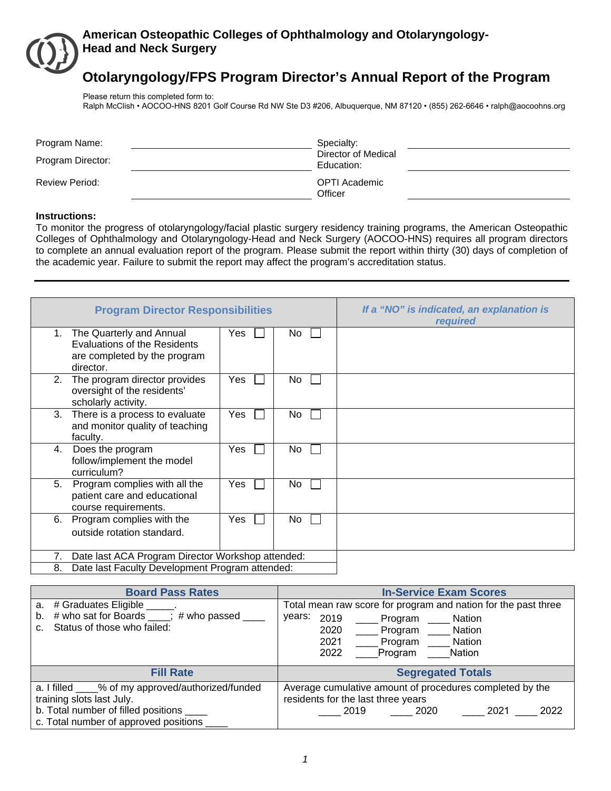

## **American Osteopathic Colleges of Ophthalmology and Otolaryngology-Head and Neck Surgery**

# **Otolaryngology/FPS Program Director's Annual Report of the Program**

Please return this completed form to: Ralph McClish • AOCOO-HNS 8201 Golf Course Rd NW Ste D3 #206, Albuquerque, NM 87120 • (855) 262-6646 • ralph@aocoohns.org

| Program Name:<br>Program Director: | Specialty:<br>Director of Medical<br>Education: |
|------------------------------------|-------------------------------------------------|
| <b>Review Period:</b>              | OPTI Academic<br>Officer                        |

#### **Instructions:**

To monitor the progress of otolaryngology/facial plastic surgery residency training programs, the American Osteopathic Colleges of Ophthalmology and Otolaryngology-Head and Neck Surgery (AOCOO-HNS) requires all program directors to complete an annual evaluation report of the program. Please submit the report within thirty (30) days of completion of the academic year. Failure to submit the report may affect the program's accreditation status.

|    | <b>Program Director Responsibilities</b>                                                                     |     |           | If a "NO" is indicated, an explanation is<br>required |
|----|--------------------------------------------------------------------------------------------------------------|-----|-----------|-------------------------------------------------------|
| 1. | The Quarterly and Annual<br><b>Evaluations of the Residents</b><br>are completed by the program<br>director. | Yes | No.       |                                                       |
| 2. | The program director provides<br>oversight of the residents'<br>scholarly activity.                          | Yes | No.       |                                                       |
| 3. | There is a process to evaluate<br>and monitor quality of teaching<br>faculty.                                | Yes | <b>No</b> |                                                       |
| 4. | Does the program<br>follow/implement the model<br>curriculum?                                                | Yes | No.       |                                                       |
| 5. | Program complies with all the<br>patient care and educational<br>course requirements.                        | Yes | No        |                                                       |
| 6. | Program complies with the<br>outside rotation standard.                                                      | Yes | No.       |                                                       |
| 7. | Date last ACA Program Director Workshop attended:                                                            |     |           |                                                       |
| 8. | Date last Faculty Development Program attended:                                                              |     |           |                                                       |

| <b>Board Pass Rates</b>                                                                                                                                                 | <b>In-Service Exam Scores</b>                                                                                                                                                          |
|-------------------------------------------------------------------------------------------------------------------------------------------------------------------------|----------------------------------------------------------------------------------------------------------------------------------------------------------------------------------------|
| # Graduates Eligible ______.<br>a.<br># who sat for Boards ____; # who passed __<br>b.<br>Status of those who failed:                                                   | Total mean raw score for program and nation for the past three<br>years:<br>2019<br>Nation<br>Program<br>2020<br>Program Nation<br>2021<br>Program Nation<br>2022<br>Program<br>Nation |
| <b>Fill Rate</b>                                                                                                                                                        | <b>Segregated Totals</b>                                                                                                                                                               |
| a. I filled ____% of my approved/authorized/funded<br>training slots last July.<br>b. Total number of filled positions _____<br>c. Total number of approved positions _ | Average cumulative amount of procedures completed by the<br>residents for the last three years<br>2021<br>2022<br>2019<br>2020                                                         |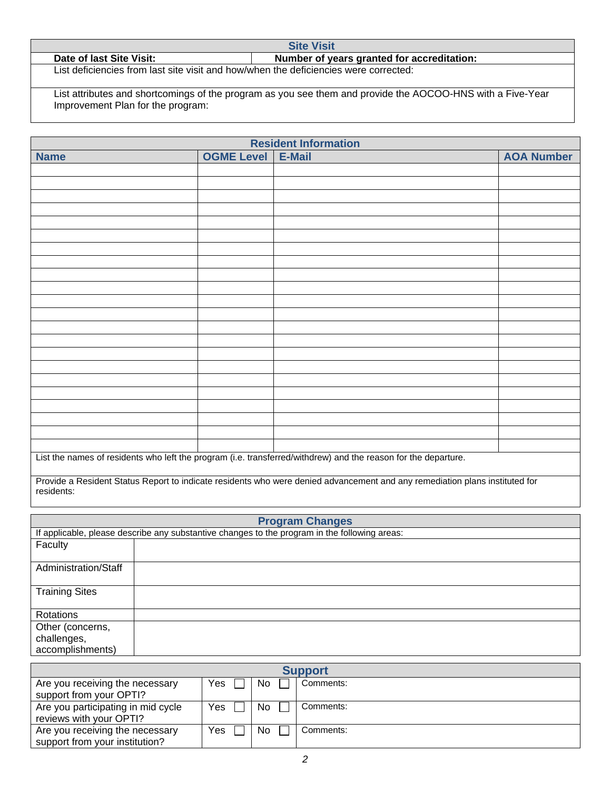Date of last Site Visit: **Number of years granted for accreditation: Number of years granted for accreditation:** List deficiencies from last site visit and how/when the deficiencies were corrected:

List attributes and shortcomings of the program as you see them and provide the AOCOO-HNS with a Five-Year Improvement Plan for the program:

**Site Visit** 

| <b>Resident Information</b> |                   |                                                                                                                |                   |  |  |
|-----------------------------|-------------------|----------------------------------------------------------------------------------------------------------------|-------------------|--|--|
| <b>Name</b>                 | <b>OGME Level</b> | E-Mail                                                                                                         | <b>AOA Number</b> |  |  |
|                             |                   |                                                                                                                |                   |  |  |
|                             |                   |                                                                                                                |                   |  |  |
|                             |                   |                                                                                                                |                   |  |  |
|                             |                   |                                                                                                                |                   |  |  |
|                             |                   |                                                                                                                |                   |  |  |
|                             |                   |                                                                                                                |                   |  |  |
|                             |                   |                                                                                                                |                   |  |  |
|                             |                   |                                                                                                                |                   |  |  |
|                             |                   |                                                                                                                |                   |  |  |
|                             |                   |                                                                                                                |                   |  |  |
|                             |                   |                                                                                                                |                   |  |  |
|                             |                   |                                                                                                                |                   |  |  |
|                             |                   |                                                                                                                |                   |  |  |
|                             |                   |                                                                                                                |                   |  |  |
|                             |                   |                                                                                                                |                   |  |  |
|                             |                   |                                                                                                                |                   |  |  |
|                             |                   |                                                                                                                |                   |  |  |
|                             |                   |                                                                                                                |                   |  |  |
|                             |                   |                                                                                                                |                   |  |  |
|                             |                   |                                                                                                                |                   |  |  |
|                             |                   |                                                                                                                |                   |  |  |
|                             |                   |                                                                                                                |                   |  |  |
|                             |                   | List the names of residents who left the program (i.e. transferred/withdrew) and the reason for the departure. |                   |  |  |

Provide a Resident Status Report to indicate residents who were denied advancement and any remediation plans instituted for residents:

|                       | <b>Program Changes</b>                                                                        |  |  |  |  |  |
|-----------------------|-----------------------------------------------------------------------------------------------|--|--|--|--|--|
|                       | If applicable, please describe any substantive changes to the program in the following areas: |  |  |  |  |  |
| Faculty               |                                                                                               |  |  |  |  |  |
| Administration/Staff  |                                                                                               |  |  |  |  |  |
| <b>Training Sites</b> |                                                                                               |  |  |  |  |  |
| Rotations             |                                                                                               |  |  |  |  |  |
| Other (concerns,      |                                                                                               |  |  |  |  |  |
| challenges,           |                                                                                               |  |  |  |  |  |
| accomplishments)      |                                                                                               |  |  |  |  |  |

| <b>Support</b>                     |     |    |           |  |  |
|------------------------------------|-----|----|-----------|--|--|
| Are you receiving the necessary    | Yes | No | Comments: |  |  |
| support from your OPTI?            |     |    |           |  |  |
| Are you participating in mid cycle | Yes | No | Comments: |  |  |
| reviews with your OPTI?            |     |    |           |  |  |
| Are you receiving the necessary    | Yes | No | Comments: |  |  |
| support from your institution?     |     |    |           |  |  |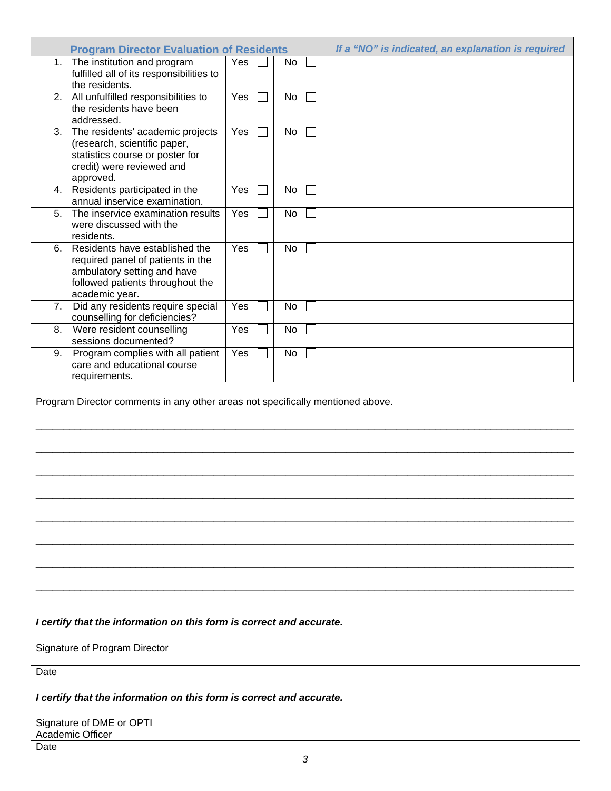| <b>Program Director Evaluation of Residents</b>                                                                                                                |            |                    | If a "NO" is indicated, an explanation is required |
|----------------------------------------------------------------------------------------------------------------------------------------------------------------|------------|--------------------|----------------------------------------------------|
| The institution and program<br>$1_{\cdot}$<br>fulfilled all of its responsibilities to<br>the residents.                                                       | Yes.       | No<br>$\mathbf{L}$ |                                                    |
| All unfulfilled responsibilities to<br>2.<br>the residents have been<br>addressed.                                                                             | Yes        | No                 |                                                    |
| The residents' academic projects<br>3.<br>(research, scientific paper,<br>statistics course or poster for<br>credit) were reviewed and<br>approved.            | <b>Yes</b> | <b>No</b>          |                                                    |
| Residents participated in the<br>4.<br>annual inservice examination.                                                                                           | <b>Yes</b> | No                 |                                                    |
| The inservice examination results<br>5.<br>were discussed with the<br>residents.                                                                               | Yes        | No                 |                                                    |
| Residents have established the<br>6.<br>required panel of patients in the<br>ambulatory setting and have<br>followed patients throughout the<br>academic year. | <b>Yes</b> | No                 |                                                    |
| Did any residents require special<br>7 <sub>1</sub><br>counselling for deficiencies?                                                                           | Yes        | No                 |                                                    |
| Were resident counselling<br>8.<br>sessions documented?                                                                                                        | Yes        | No                 |                                                    |
| Program complies with all patient<br>9.<br>care and educational course<br>requirements.                                                                        | Yes        | No                 |                                                    |

Program Director comments in any other areas not specifically mentioned above.

## *I certify that the information on this form is correct and accurate.*

| Signature of Program Director |  |
|-------------------------------|--|
| Date                          |  |

\_\_\_\_\_\_\_\_\_\_\_\_\_\_\_\_\_\_\_\_\_\_\_\_\_\_\_\_\_\_\_\_\_\_\_\_\_\_\_\_\_\_\_\_\_\_\_\_\_\_\_\_\_\_\_\_\_\_\_\_\_\_\_\_\_\_\_\_\_\_\_\_\_\_\_\_\_\_\_\_\_\_\_\_\_\_\_\_\_\_\_\_\_\_\_\_\_

\_\_\_\_\_\_\_\_\_\_\_\_\_\_\_\_\_\_\_\_\_\_\_\_\_\_\_\_\_\_\_\_\_\_\_\_\_\_\_\_\_\_\_\_\_\_\_\_\_\_\_\_\_\_\_\_\_\_\_\_\_\_\_\_\_\_\_\_\_\_\_\_\_\_\_\_\_\_\_\_\_\_\_\_\_\_\_\_\_\_\_\_\_\_\_\_\_

 $\Box$  , and the set of the set of the set of the set of the set of the set of the set of the set of the set of the set of the set of the set of the set of the set of the set of the set of the set of the set of the set of t

\_\_\_\_\_\_\_\_\_\_\_\_\_\_\_\_\_\_\_\_\_\_\_\_\_\_\_\_\_\_\_\_\_\_\_\_\_\_\_\_\_\_\_\_\_\_\_\_\_\_\_\_\_\_\_\_\_\_\_\_\_\_\_\_\_\_\_\_\_\_\_\_\_\_\_\_\_\_\_\_\_\_\_\_\_\_\_\_\_\_\_\_\_\_\_\_\_

\_\_\_\_\_\_\_\_\_\_\_\_\_\_\_\_\_\_\_\_\_\_\_\_\_\_\_\_\_\_\_\_\_\_\_\_\_\_\_\_\_\_\_\_\_\_\_\_\_\_\_\_\_\_\_\_\_\_\_\_\_\_\_\_\_\_\_\_\_\_\_\_\_\_\_\_\_\_\_\_\_\_\_\_\_\_\_\_\_\_\_\_\_\_\_\_\_

 $\Box$  , and the set of the set of the set of the set of the set of the set of the set of the set of the set of the set of the set of the set of the set of the set of the set of the set of the set of the set of the set of t

 $\Box$  , and the set of the set of the set of the set of the set of the set of the set of the set of the set of the set of the set of the set of the set of the set of the set of the set of the set of the set of the set of t

\_\_\_\_\_\_\_\_\_\_\_\_\_\_\_\_\_\_\_\_\_\_\_\_\_\_\_\_\_\_\_\_\_\_\_\_\_\_\_\_\_\_\_\_\_\_\_\_\_\_\_\_\_\_\_\_\_\_\_\_\_\_\_\_\_\_\_\_\_\_\_\_\_\_\_\_\_\_\_\_\_\_\_\_\_\_\_\_\_\_\_\_\_\_\_\_\_

## *I certify that the information on this form is correct and accurate.*

| Signature of DME or OPTI |  |
|--------------------------|--|
| Academic Officer         |  |
| Date                     |  |